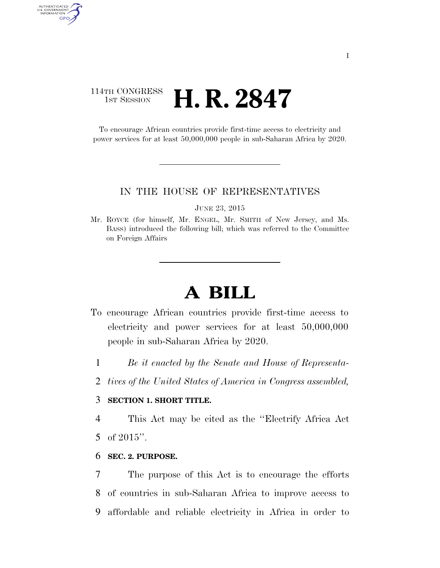# 114TH CONGRESS 1st Session **H. R. 2847**

AUTHENTICATED<br>U.S. GOVERNMENT<br>INFORMATION GPO

> To encourage African countries provide first-time access to electricity and power services for at least 50,000,000 people in sub-Saharan Africa by 2020.

#### IN THE HOUSE OF REPRESENTATIVES

JUNE 23, 2015

Mr. ROYCE (for himself, Mr. ENGEL, Mr. SMITH of New Jersey, and Ms. BASS) introduced the following bill; which was referred to the Committee on Foreign Affairs

# **A BILL**

- To encourage African countries provide first-time access to electricity and power services for at least 50,000,000 people in sub-Saharan Africa by 2020.
	- 1 *Be it enacted by the Senate and House of Representa-*
	- 2 *tives of the United States of America in Congress assembled,*

#### 3 **SECTION 1. SHORT TITLE.**

4 This Act may be cited as the ''Electrify Africa Act 5 of 2015''.

#### 6 **SEC. 2. PURPOSE.**

7 The purpose of this Act is to encourage the efforts 8 of countries in sub-Saharan Africa to improve access to 9 affordable and reliable electricity in Africa in order to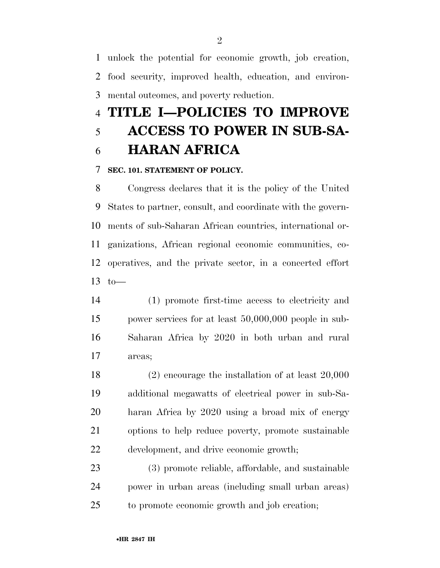unlock the potential for economic growth, job creation, food security, improved health, education, and environ-mental outcomes, and poverty reduction.

# **TITLE I—POLICIES TO IMPROVE ACCESS TO POWER IN SUB-SA-**

# **HARAN AFRICA**

### **SEC. 101. STATEMENT OF POLICY.**

 Congress declares that it is the policy of the United States to partner, consult, and coordinate with the govern- ments of sub-Saharan African countries, international or- ganizations, African regional economic communities, co- operatives, and the private sector, in a concerted effort 13  $to$ 

 (1) promote first-time access to electricity and power services for at least 50,000,000 people in sub- Saharan Africa by 2020 in both urban and rural areas;

 (2) encourage the installation of at least 20,000 additional megawatts of electrical power in sub-Sa- haran Africa by 2020 using a broad mix of energy options to help reduce poverty, promote sustainable development, and drive economic growth;

 (3) promote reliable, affordable, and sustainable power in urban areas (including small urban areas) to promote economic growth and job creation;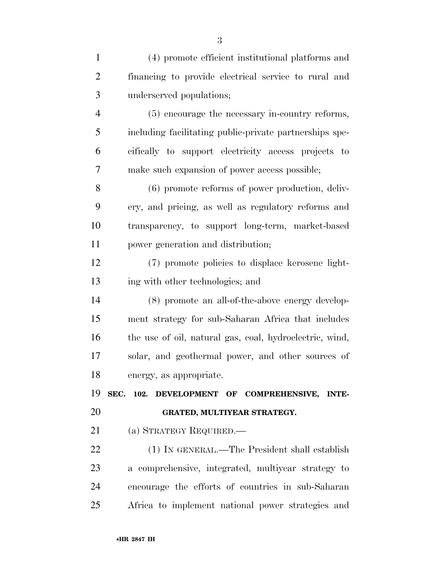| $\mathbf{1}$   | (4) promote efficient institutional platforms and          |
|----------------|------------------------------------------------------------|
| $\overline{2}$ | financing to provide electrical service to rural and       |
| 3              | underserved populations;                                   |
| $\overline{4}$ | (5) encourage the necessary in-country reforms,            |
| 5              | including facilitating public-private partnerships spe-    |
| 6              | cifically to support electricity access projects to        |
| 7              | make such expansion of power access possible;              |
| 8              | $(6)$ promote reforms of power production, deliv-          |
| 9              | ery, and pricing, as well as regulatory reforms and        |
| 10             | transparency, to support long-term, market-based           |
| 11             | power generation and distribution;                         |
| 12             | (7) promote policies to displace kerosene light-           |
| 13             | ing with other technologies; and                           |
| 14             | (8) promote an all-of-the-above energy develop-            |
| 15             | ment strategy for sub-Saharan Africa that includes         |
| 16             | the use of oil, natural gas, coal, hydroelectric, wind,    |
| 17             | solar, and geothermal power, and other sources of          |
| 18             | energy, as appropriate.                                    |
| 19             | SEC.<br>102. DEVELOPMENT OF COMPREHENSIVE,<br><b>INTE-</b> |
| 20             | GRATED, MULTIYEAR STRATEGY.                                |
| 21             | (a) STRATEGY REQUIRED.—                                    |
| 22             | (1) IN GENERAL.—The President shall establish              |
| 23             | a comprehensive, integrated, multiyear strategy to         |
| 24             | encourage the efforts of countries in sub-Saharan          |
| 25             | Africa to implement national power strategies and          |
|                |                                                            |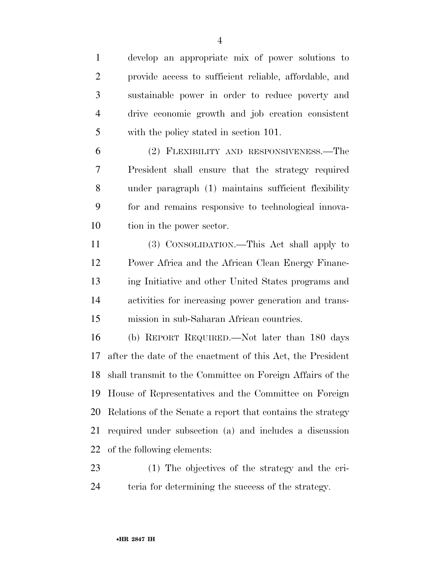develop an appropriate mix of power solutions to provide access to sufficient reliable, affordable, and sustainable power in order to reduce poverty and drive economic growth and job creation consistent with the policy stated in section 101.

 (2) FLEXIBILITY AND RESPONSIVENESS.—The President shall ensure that the strategy required under paragraph (1) maintains sufficient flexibility for and remains responsive to technological innova-10 tion in the power sector.

 (3) CONSOLIDATION.—This Act shall apply to Power Africa and the African Clean Energy Financ- ing Initiative and other United States programs and activities for increasing power generation and trans-mission in sub-Saharan African countries.

 (b) REPORT REQUIRED.—Not later than 180 days after the date of the enactment of this Act, the President shall transmit to the Committee on Foreign Affairs of the House of Representatives and the Committee on Foreign Relations of the Senate a report that contains the strategy required under subsection (a) and includes a discussion of the following elements:

 (1) The objectives of the strategy and the cri-teria for determining the success of the strategy.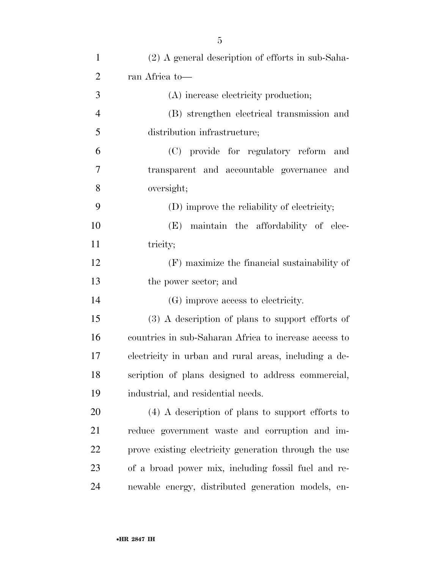| $\mathbf{1}$   | (2) A general description of efforts in sub-Saha-     |
|----------------|-------------------------------------------------------|
| $\overline{2}$ | ran Africa to-                                        |
| 3              | (A) increase electricity production;                  |
| $\overline{4}$ | (B) strengthen electrical transmission and            |
| 5              | distribution infrastructure;                          |
| 6              | (C) provide for regulatory reform<br>and              |
| 7              | transparent and accountable governance and            |
| 8              | oversight;                                            |
| 9              | (D) improve the reliability of electricity;           |
| 10             | (E) maintain the affordability of elec-               |
| 11             | tricity;                                              |
| 12             | (F) maximize the financial sustainability of          |
| 13             | the power sector; and                                 |
| 14             | (G) improve access to electricity.                    |
| 15             | $(3)$ A description of plans to support efforts of    |
| 16             | countries in sub-Saharan Africa to increase access to |
| 17             | electricity in urban and rural areas, including a de- |
| 18             | scription of plans designed to address commercial,    |
| 19             | industrial, and residential needs.                    |
| 20             | $(4)$ A description of plans to support efforts to    |
| 21             | reduce government waste and corruption and im-        |
| 22             | prove existing electricity generation through the use |
| 23             | of a broad power mix, including fossil fuel and re-   |
| 24             | newable energy, distributed generation models, en-    |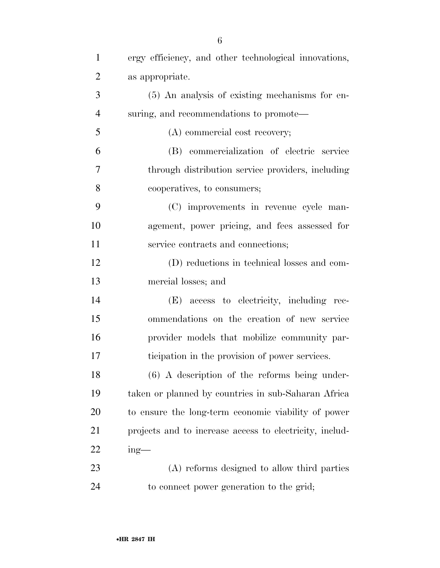| $\mathbf{1}$   | ergy efficiency, and other technological innovations,   |
|----------------|---------------------------------------------------------|
| $\overline{2}$ | as appropriate.                                         |
| 3              | (5) An analysis of existing mechanisms for en-          |
| $\overline{4}$ | suring, and recommendations to promote—                 |
| 5              | (A) commercial cost recovery;                           |
| 6              | (B) commercialization of electric service               |
| 7              | through distribution service providers, including       |
| 8              | cooperatives, to consumers;                             |
| 9              | (C) improvements in revenue cycle man-                  |
| 10             | agement, power pricing, and fees assessed for           |
| 11             | service contracts and connections;                      |
| 12             | (D) reductions in technical losses and com-             |
| 13             | mercial losses; and                                     |
| 14             | (E) access to electricity, including rec-               |
| 15             | ommendations on the creation of new service             |
| 16             | provider models that mobilize community par-            |
| 17             | ticipation in the provision of power services.          |
| 18             | $(6)$ A description of the reforms being under-         |
| 19             | taken or planned by countries in sub-Saharan Africa     |
| 20             | to ensure the long-term economic viability of power     |
| 21             | projects and to increase access to electricity, includ- |
| 22             | $ing$ —                                                 |
| 23             | (A) reforms designed to allow third parties             |
| 24             | to connect power generation to the grid;                |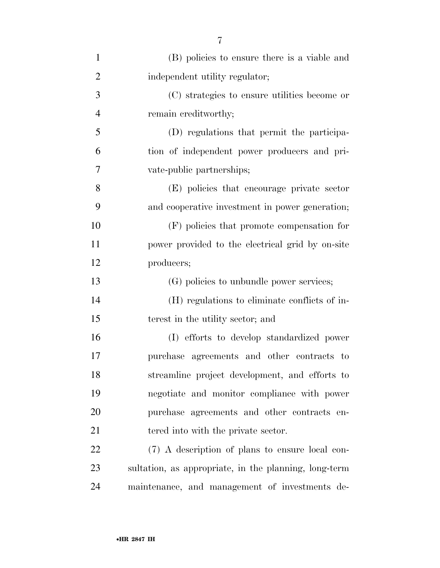| $\mathbf{1}$   | (B) policies to ensure there is a viable and          |
|----------------|-------------------------------------------------------|
| $\overline{2}$ | independent utility regulator;                        |
| 3              | (C) strategies to ensure utilities become or          |
| $\overline{4}$ | remain creditworthy;                                  |
| 5              | (D) regulations that permit the participa-            |
| 6              | tion of independent power producers and pri-          |
| 7              | vate-public partnerships;                             |
| 8              | (E) policies that encourage private sector            |
| 9              | and cooperative investment in power generation;       |
| 10             | $(F)$ policies that promote compensation for          |
| 11             | power provided to the electrical grid by on-site      |
| 12             | producers;                                            |
| 13             | (G) policies to unbundle power services;              |
| 14             | (H) regulations to eliminate conflicts of in-         |
| 15             | terest in the utility sector; and                     |
| 16             | (I) efforts to develop standardized power             |
| 17             | purchase agreements and other contracts to            |
| 18             | streamline project development, and efforts to        |
| 19             | negotiate and monitor compliance with power           |
| 20             | purchase agreements and other contracts en-           |
| 21             | tered into with the private sector.                   |
| 22             | (7) A description of plans to ensure local con-       |
| 23             | sultation, as appropriate, in the planning, long-term |
| 24             | maintenance, and management of investments de-        |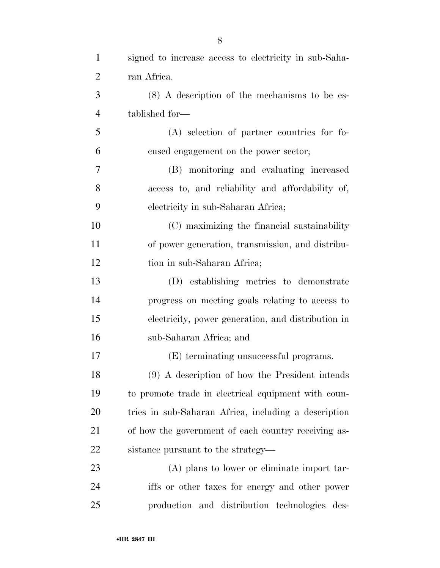| $\mathbf{1}$   | signed to increase access to electricity in sub-Saha- |
|----------------|-------------------------------------------------------|
| $\overline{2}$ | ran Africa.                                           |
| 3              | $(8)$ A description of the mechanisms to be es-       |
| $\overline{4}$ | tablished for-                                        |
| 5              | (A) selection of partner countries for fo-            |
| 6              | cused engagement on the power sector;                 |
| 7              | (B) monitoring and evaluating increased               |
| 8              | access to, and reliability and affordability of,      |
| 9              | electricity in sub-Saharan Africa;                    |
| 10             | (C) maximizing the financial sustainability           |
| 11             | of power generation, transmission, and distribu-      |
| 12             | tion in sub-Saharan Africa;                           |
| 13             | (D) establishing metrics to demonstrate               |
| 14             | progress on meeting goals relating to access to       |
| 15             | electricity, power generation, and distribution in    |
| 16             | sub-Saharan Africa; and                               |
| 17             | (E) terminating unsuccessful programs.                |
| 18             | (9) A description of how the President intends        |
| 19             | to promote trade in electrical equipment with coun-   |
| 20             | tries in sub-Saharan Africa, including a description  |
| 21             | of how the government of each country receiving as-   |
| 22             | sistance pursuant to the strategy—                    |
| 23             | (A) plans to lower or eliminate import tar-           |
| 24             | iffs or other taxes for energy and other power        |
| 25             | production and distribution technologies des-         |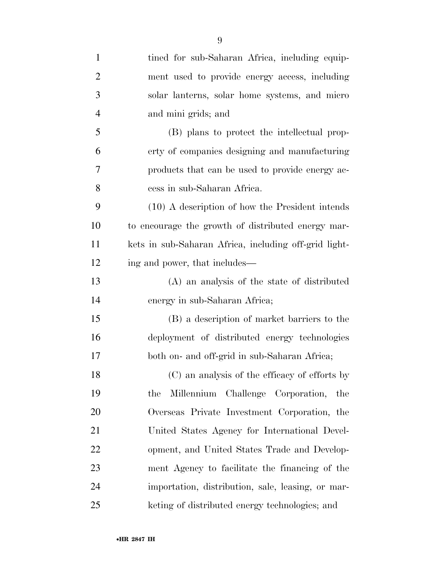| $\mathbf{1}$   | tined for sub-Saharan Africa, including equip-        |
|----------------|-------------------------------------------------------|
| $\overline{2}$ | ment used to provide energy access, including         |
| 3              | solar lanterns, solar home systems, and micro         |
| 4              | and mini grids; and                                   |
| 5              | (B) plans to protect the intellectual prop-           |
| 6              | erty of companies designing and manufacturing         |
| 7              | products that can be used to provide energy ac-       |
| 8              | cess in sub-Saharan Africa.                           |
| 9              | $(10)$ A description of how the President intends     |
| 10             | to encourage the growth of distributed energy mar-    |
| 11             | kets in sub-Saharan Africa, including off-grid light- |
| 12             | ing and power, that includes—                         |
| 13             | (A) an analysis of the state of distributed           |
| 14             | energy in sub-Saharan Africa;                         |
| 15             | (B) a description of market barriers to the           |
| 16             | deployment of distributed energy technologies         |
| 17             | both on- and off-grid in sub-Saharan Africa;          |
| 18             | (C) an analysis of the efficacy of efforts by         |
| 19             | Millennium Challenge Corporation,<br>the<br>the       |
| 20             | Overseas Private Investment Corporation, the          |
| 21             | United States Agency for International Devel-         |
| 22             | opment, and United States Trade and Develop-          |
| 23             | ment Agency to facilitate the financing of the        |
| 24             | importation, distribution, sale, leasing, or mar-     |
| 25             | keting of distributed energy technologies; and        |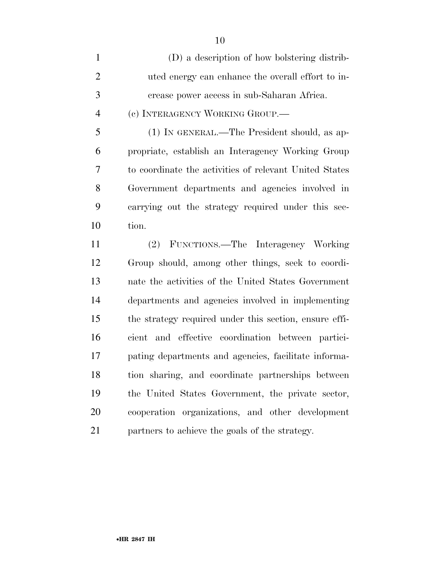| $\mathbf{1}$ | (D) a description of how bolstering distrib-           |
|--------------|--------------------------------------------------------|
| 2            | uted energy can enhance the overall effort to in-      |
| 3            | crease power access in sub-Saharan Africa.             |
| 4            | (c) INTERAGENCY WORKING GROUP.—                        |
| 5            | (1) IN GENERAL.—The President should, as ap-           |
| 6            | propriate, establish an Interagency Working Group      |
| 7            | to coordinate the activities of relevant United States |
| 8            | Government departments and agencies involved in        |
| 9            | carrying out the strategy required under this sec-     |
| 10           | tion.                                                  |

 (2) FUNCTIONS.—The Interagency Working Group should, among other things, seek to coordi- nate the activities of the United States Government departments and agencies involved in implementing the strategy required under this section, ensure effi- cient and effective coordination between partici- pating departments and agencies, facilitate informa- tion sharing, and coordinate partnerships between the United States Government, the private sector, cooperation organizations, and other development partners to achieve the goals of the strategy.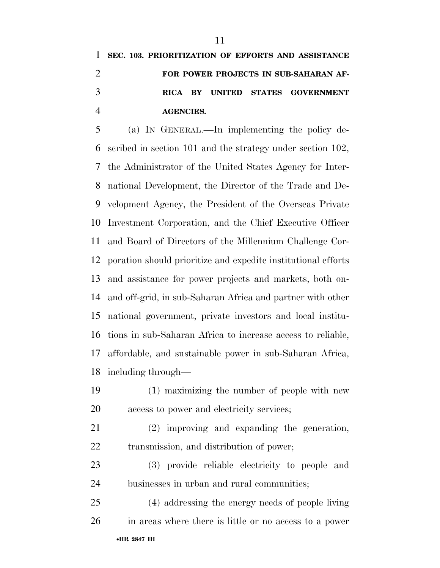# **SEC. 103. PRIORITIZATION OF EFFORTS AND ASSISTANCE FOR POWER PROJECTS IN SUB-SAHARAN AF- RICA BY UNITED STATES GOVERNMENT AGENCIES.**

 (a) IN GENERAL.—In implementing the policy de- scribed in section 101 and the strategy under section 102, the Administrator of the United States Agency for Inter- national Development, the Director of the Trade and De- velopment Agency, the President of the Overseas Private Investment Corporation, and the Chief Executive Officer and Board of Directors of the Millennium Challenge Cor- poration should prioritize and expedite institutional efforts and assistance for power projects and markets, both on- and off-grid, in sub-Saharan Africa and partner with other national government, private investors and local institu- tions in sub-Saharan Africa to increase access to reliable, affordable, and sustainable power in sub-Saharan Africa, including through—

- (1) maximizing the number of people with new access to power and electricity services;
- (2) improving and expanding the generation, transmission, and distribution of power;
- (3) provide reliable electricity to people and businesses in urban and rural communities;
- •**HR 2847 IH** (4) addressing the energy needs of people living in areas where there is little or no access to a power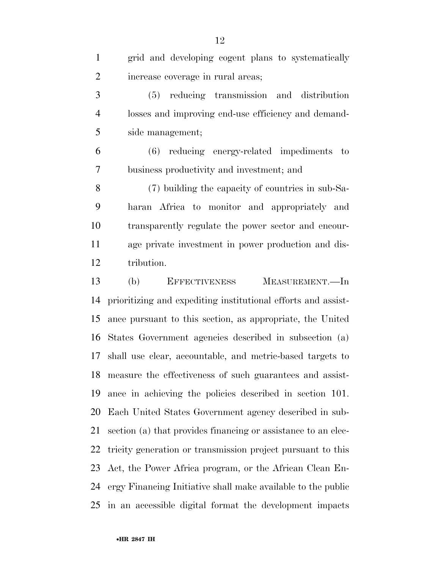| $\mathbf{1}$   | grid and developing cogent plans to systematically            |
|----------------|---------------------------------------------------------------|
| $\overline{2}$ | increase coverage in rural areas;                             |
| 3              | (5) reducing transmission and distribution                    |
| $\overline{4}$ | losses and improving end-use efficiency and demand-           |
| 5              | side management;                                              |
| 6              | reducing energy-related impediments to<br>(6)                 |
| $\tau$         | business productivity and investment; and                     |
| 8              | (7) building the capacity of countries in sub-Sa-             |
| 9              | haran Africa to monitor and appropriately and                 |
| 10             | transparently regulate the power sector and encour-           |
| 11             | age private investment in power production and dis-           |
| 12             | tribution.                                                    |
| 13             | (b)<br><b>EFFECTIVENESS</b><br>MEASUREMENT.—In                |
| 14             | prioritizing and expediting institutional efforts and assist- |
| 15             | ance pursuant to this section, as appropriate, the United     |
|                | 16 States Government agencies described in subsection (a)     |
| 17             | shall use clear, accountable, and metric-based targets to     |
|                | 18 measure the effectiveness of such guarantees and assist-   |
| 19             | ance in achieving the policies described in section 101.      |
| 20             | Each United States Government agency described in sub-        |
| 21             | section (a) that provides financing or assistance to an elec- |
| 22             | tricity generation or transmission project pursuant to this   |
| 23             | Act, the Power Africa program, or the African Clean En-       |
| 24             | ergy Financing Initiative shall make available to the public  |
| 25             | in an accessible digital format the development impacts       |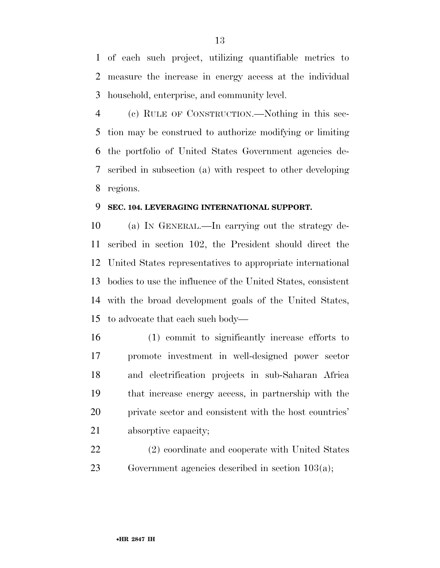of each such project, utilizing quantifiable metrics to measure the increase in energy access at the individual household, enterprise, and community level.

 (c) RULE OF CONSTRUCTION.—Nothing in this sec- tion may be construed to authorize modifying or limiting the portfolio of United States Government agencies de- scribed in subsection (a) with respect to other developing regions.

## **SEC. 104. LEVERAGING INTERNATIONAL SUPPORT.**

 (a) IN GENERAL.—In carrying out the strategy de- scribed in section 102, the President should direct the United States representatives to appropriate international bodies to use the influence of the United States, consistent with the broad development goals of the United States, to advocate that each such body—

- (1) commit to significantly increase efforts to promote investment in well-designed power sector and electrification projects in sub-Saharan Africa that increase energy access, in partnership with the private sector and consistent with the host countries' absorptive capacity;
- (2) coordinate and cooperate with United States Government agencies described in section 103(a);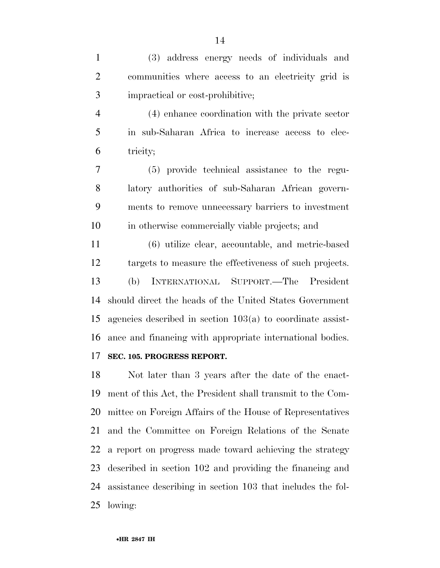(3) address energy needs of individuals and communities where access to an electricity grid is impractical or cost-prohibitive;

 (4) enhance coordination with the private sector in sub-Saharan Africa to increase access to elec-tricity;

 (5) provide technical assistance to the regu- latory authorities of sub-Saharan African govern- ments to remove unnecessary barriers to investment in otherwise commercially viable projects; and

 (6) utilize clear, accountable, and metric-based targets to measure the effectiveness of such projects. (b) INTERNATIONAL SUPPORT.—The President should direct the heads of the United States Government agencies described in section 103(a) to coordinate assist-ance and financing with appropriate international bodies.

# **SEC. 105. PROGRESS REPORT.**

 Not later than 3 years after the date of the enact- ment of this Act, the President shall transmit to the Com- mittee on Foreign Affairs of the House of Representatives and the Committee on Foreign Relations of the Senate a report on progress made toward achieving the strategy described in section 102 and providing the financing and assistance describing in section 103 that includes the fol-lowing: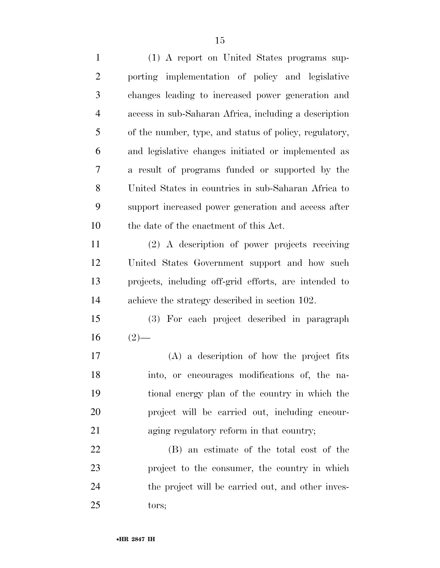(1) A report on United States programs sup- porting implementation of policy and legislative changes leading to increased power generation and access in sub-Saharan Africa, including a description of the number, type, and status of policy, regulatory, and legislative changes initiated or implemented as a result of programs funded or supported by the United States in countries in sub-Saharan Africa to support increased power generation and access after the date of the enactment of this Act. (2) A description of power projects receiving United States Government support and how such projects, including off-grid efforts, are intended to achieve the strategy described in section 102. (3) For each project described in paragraph  $16 \t(2)$ — (A) a description of how the project fits into, or encourages modifications of, the na- tional energy plan of the country in which the project will be carried out, including encour- aging regulatory reform in that country; (B) an estimate of the total cost of the project to the consumer, the country in which the project will be carried out, and other inves-tors;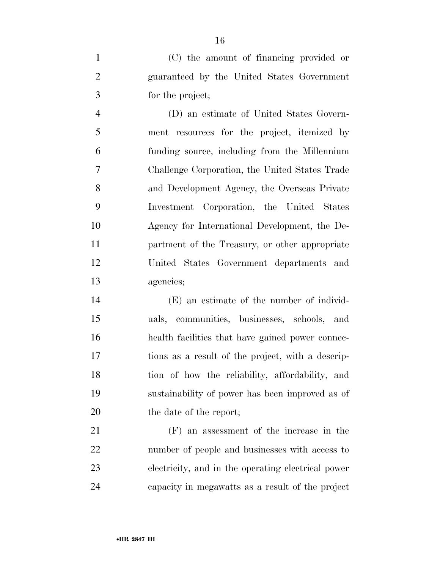(C) the amount of financing provided or guaranteed by the United States Government for the project;

 (D) an estimate of United States Govern- ment resources for the project, itemized by funding source, including from the Millennium Challenge Corporation, the United States Trade and Development Agency, the Overseas Private Investment Corporation, the United States Agency for International Development, the De- partment of the Treasury, or other appropriate United States Government departments and agencies;

 (E) an estimate of the number of individ- uals, communities, businesses, schools, and health facilities that have gained power connec- tions as a result of the project, with a descrip- tion of how the reliability, affordability, and sustainability of power has been improved as of 20 the date of the report;

 (F) an assessment of the increase in the number of people and businesses with access to electricity, and in the operating electrical power capacity in megawatts as a result of the project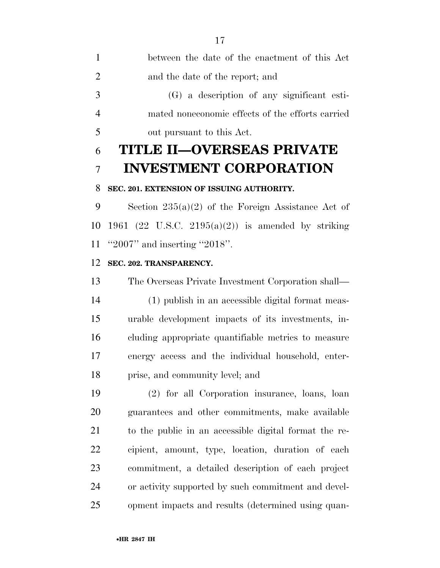between the date of the enactment of this Act and the date of the report; and (G) a description of any significant esti- mated noneconomic effects of the efforts carried out pursuant to this Act.

# **TITLE II—OVERSEAS PRIVATE INVESTMENT CORPORATION**

# **SEC. 201. EXTENSION OF ISSUING AUTHORITY.**

 Section 235(a)(2) of the Foreign Assistance Act of 10 1961 (22 U.S.C. 2195(a)(2)) is amended by striking ''2007'' and inserting ''2018''.

## **SEC. 202. TRANSPARENCY.**

 The Overseas Private Investment Corporation shall— (1) publish in an accessible digital format meas- urable development impacts of its investments, in- cluding appropriate quantifiable metrics to measure energy access and the individual household, enter-prise, and community level; and

 (2) for all Corporation insurance, loans, loan guarantees and other commitments, make available to the public in an accessible digital format the re- cipient, amount, type, location, duration of each commitment, a detailed description of each project or activity supported by such commitment and devel-opment impacts and results (determined using quan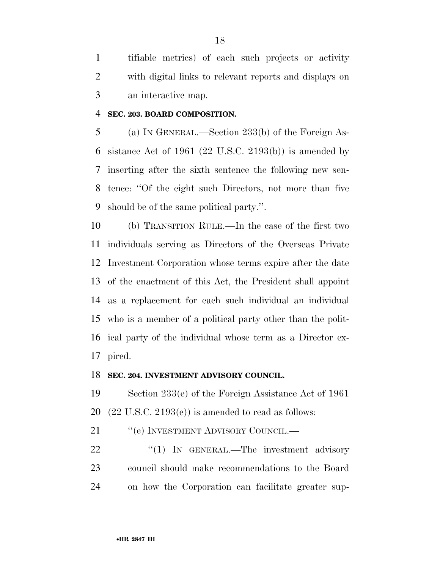tifiable metrics) of each such projects or activity with digital links to relevant reports and displays on an interactive map.

#### **SEC. 203. BOARD COMPOSITION.**

 (a) IN GENERAL.—Section 233(b) of the Foreign As-6 sistance Act of 1961 (22 U.S.C. 2193(b)) is amended by inserting after the sixth sentence the following new sen- tence: ''Of the eight such Directors, not more than five should be of the same political party.''.

 (b) TRANSITION RULE.—In the case of the first two individuals serving as Directors of the Overseas Private Investment Corporation whose terms expire after the date of the enactment of this Act, the President shall appoint as a replacement for each such individual an individual who is a member of a political party other than the polit- ical party of the individual whose term as a Director ex-pired.

#### **SEC. 204. INVESTMENT ADVISORY COUNCIL.**

 Section 233(e) of the Foreign Assistance Act of 1961 20  $(22 \text{ U.S.C. } 2193(e))$  is amended to read as follows:

21 ""(e) INVESTMENT ADVISORY COUNCIL.—

22 "(1) In GENERAL.—The investment advisory council should make recommendations to the Board on how the Corporation can facilitate greater sup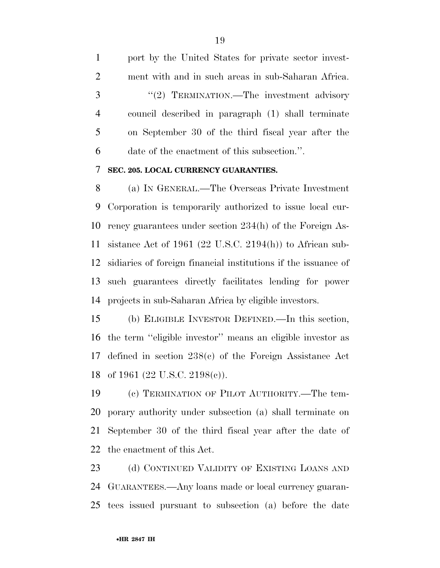port by the United States for private sector invest- ment with and in such areas in sub-Saharan Africa. 3 "(2) TERMINATION.—The investment advisory council described in paragraph (1) shall terminate on September 30 of the third fiscal year after the date of the enactment of this subsection.''.

# **SEC. 205. LOCAL CURRENCY GUARANTIES.**

 (a) IN GENERAL.—The Overseas Private Investment Corporation is temporarily authorized to issue local cur- rency guarantees under section 234(h) of the Foreign As- sistance Act of 1961 (22 U.S.C. 2194(h)) to African sub- sidiaries of foreign financial institutions if the issuance of such guarantees directly facilitates lending for power projects in sub-Saharan Africa by eligible investors.

 (b) ELIGIBLE INVESTOR DEFINED.—In this section, the term ''eligible investor'' means an eligible investor as defined in section 238(c) of the Foreign Assistance Act of 1961 (22 U.S.C. 2198(c)).

 (c) TERMINATION OF PILOT AUTHORITY.—The tem- porary authority under subsection (a) shall terminate on September 30 of the third fiscal year after the date of the enactment of this Act.

23 (d) CONTINUED VALIDITY OF EXISTING LOANS AND GUARANTEES.—Any loans made or local currency guaran-tees issued pursuant to subsection (a) before the date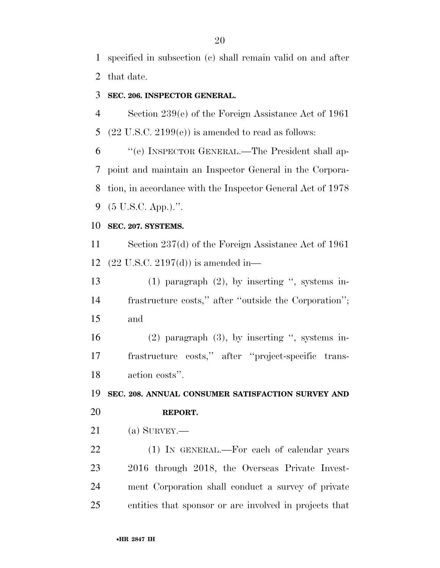specified in subsection (c) shall remain valid on and after that date.

# **SEC. 206. INSPECTOR GENERAL.**

 Section 239(e) of the Foreign Assistance Act of 1961 5  $(22 \text{ U.S.C. } 2199(e))$  is amended to read as follows:

 ''(e) INSPECTOR GENERAL.—The President shall ap- point and maintain an Inspector General in the Corpora- tion, in accordance with the Inspector General Act of 1978 (5 U.S.C. App.).''.

## **SEC. 207. SYSTEMS.**

 Section 237(d) of the Foreign Assistance Act of 1961 (22 U.S.C. 2197(d)) is amended in—

 (1) paragraph (2), by inserting '', systems in- frastructure costs,'' after ''outside the Corporation''; and

 (2) paragraph (3), by inserting '', systems in- frastructure costs,'' after ''project-specific trans-action costs''.

**SEC. 208. ANNUAL CONSUMER SATISFACTION SURVEY AND** 

## **REPORT.**

(a) SURVEY.—

22 (1) IN GENERAL.—For each of calendar years 2016 through 2018, the Overseas Private Invest- ment Corporation shall conduct a survey of private entities that sponsor or are involved in projects that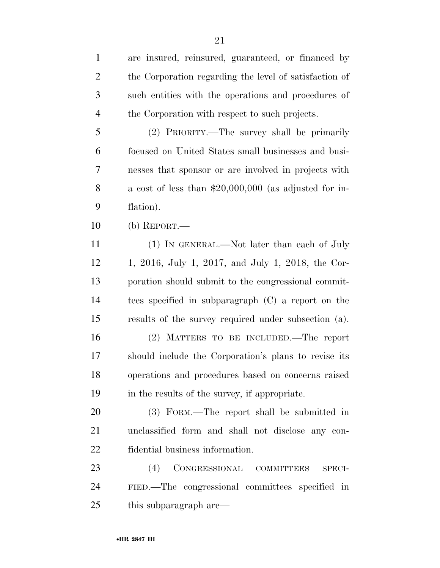are insured, reinsured, guaranteed, or financed by the Corporation regarding the level of satisfaction of such entities with the operations and procedures of the Corporation with respect to such projects. (2) PRIORITY.—The survey shall be primarily focused on United States small businesses and busi- nesses that sponsor or are involved in projects with a cost of less than \$20,000,000 (as adjusted for in- flation). (b) REPORT.— 11 (1) IN GENERAL.—Not later than each of July 1, 2016, July 1, 2017, and July 1, 2018, the Cor- poration should submit to the congressional commit- tees specified in subparagraph (C) a report on the results of the survey required under subsection (a). (2) MATTERS TO BE INCLUDED.—The report should include the Corporation's plans to revise its operations and procedures based on concerns raised in the results of the survey, if appropriate. (3) FORM.—The report shall be submitted in unclassified form and shall not disclose any con- fidential business information. (4) CONGRESSIONAL COMMITTEES SPECI- FIED.—The congressional committees specified in this subparagraph are—